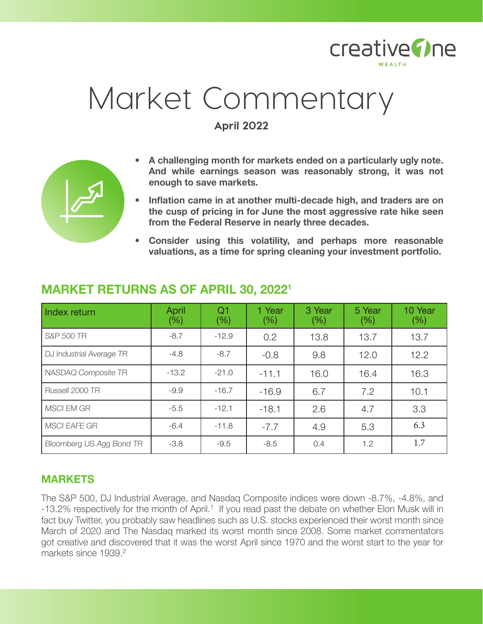

# Market Commentary

**April 2022**



- **• Inflation came in at another multi-decade high, and traders are on the cusp of pricing in for June the most aggressive rate hike seen from the Federal Reserve in nearly three decades.**
- **• Consider using this volatility, and perhaps more reasonable valuations, as a time for spring cleaning your investment portfolio.**

| Index return             | <b>April</b><br>$(\%)$ | Q1<br>(% ) | 1 Year<br>(% ) | 3 Year<br>(% ) | 5 Year<br>$(\% )$ | 10 Year<br>$(\% )$ |
|--------------------------|------------------------|------------|----------------|----------------|-------------------|--------------------|
| S&P 500 TR               | $-8.7$                 | $-12.9$    | 0.2            | 13.8           | 13.7              | 13.7               |
| DJ Industrial Average TR | $-4.8$                 | $-8.7$     | $-0.8$         | 9.8            | 12.0              | 12.2               |
| NASDAQ Composite TR      | $-13.2$                | $-21.0$    | $-11.1$        | 16.0           | 16.4              | 16.3               |
| Russell 2000 TR          | $-9.9$                 | $-16.7$    | $-16.9$        | 6.7            | 7.2               | 10.1               |
| <b>MSCI EM GR</b>        | $-5.5$                 | $-12.1$    | $-18.1$        | 2.6            | 4.7               | 3.3                |
| <b>MSCI EAFE GR</b>      | $-6.4$                 | $-11.8$    | $-7.7$         | 4.9            | 5.3               | 6.3                |
| Bloomberg US Agg Bond TR | $-3.8$                 | $-9.5$     | $-8.5$         | 0.4            | 1.2               | 1.7                |

## **MARKET RETURNS AS OF APRIL 30, 20221**

## **MARKETS**

The S&P 500, DJ Industrial Average, and Nasdaq Composite indices were down -8.7%, -4.8%, and -13.2% respectively for the month of April.<sup>1</sup> If you read past the debate on whether Elon Musk will in fact buy Twitter, you probably saw headlines such as U.S. stocks experienced their worst month since March of 2020 and The Nasdaq marked its worst month since 2008. Some market commentators got creative and discovered that it was the worst April since 1970 and the worst start to the year for markets since 1939.<sup>2</sup>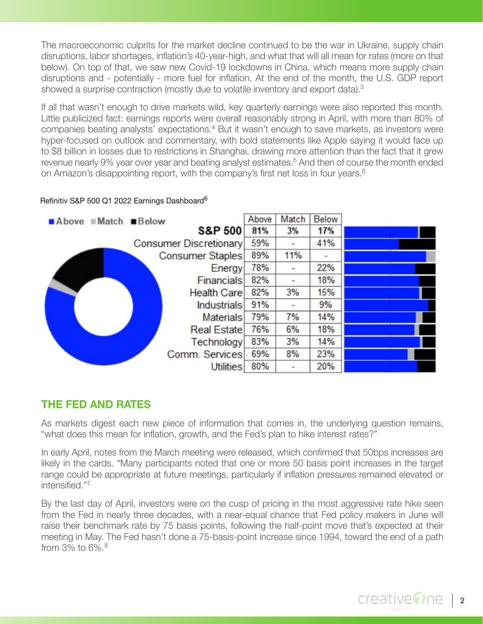The macroeconomic culprits for the market decline continued to be the war in Ukraine, supply chain disruptions, labor shortages, inflation's 40-year-high, and what that will all mean for rates (more on that below). On top of that, we saw new Covid-19 lockdowns in China, which means more supply chain disruptions and - potentially - more fuel for inflation. At the end of the month, the U.S. GDP report showed a surprise contraction (mostly due to volatile inventory and export data).<sup>3</sup>

If all that wasn't enough to drive markets wild, key quarterly earnings were also reported this month. Little publicized fact: earnings reports were overall reasonably strong in April, with more than 80% of companies beating analysts' expectations.<sup>4</sup> But it wasn't enough to save markets, as investors were hyper-focused on outlook and commentary, with bold statements like Apple saying it would face up to \$8 billion in losses due to restrictions in Shanghai, drawing more attention than the fact that it grew revenue nearly 9% year over year and beating analyst estimates.<sup>5</sup> And then of course the month ended on Amazon's disappointing report, with the company's first net loss in four years.<sup>6</sup>

#### Refinitiv S&P 500 Q1 2022 Earnings Dashboard<sup>6</sup>



## **THE FED AND RATES**

As markets digest each new piece of information that comes in, the underlying question remains, "what does this mean for inflation, growth, and the Fed's plan to hike interest rates?"

In early April, notes from the March meeting were released, which confirmed that 50bps increases are likely in the cards. "Many participants noted that one or more 50 basis point increases in the target range could be appropriate at future meetings, particularly if inflation pressures remained elevated or intensified."7

By the last day of April, investors were on the cusp of pricing in the most aggressive rate hike seen from the Fed in nearly three decades, with a near-equal chance that Fed policy makers in June will raise their benchmark rate by 75 basis points, following the half-point move that's expected at their meeting in May. The Fed hasn't done a 75-basis-point increase since 1994, toward the end of a path from 3% to 6%.8